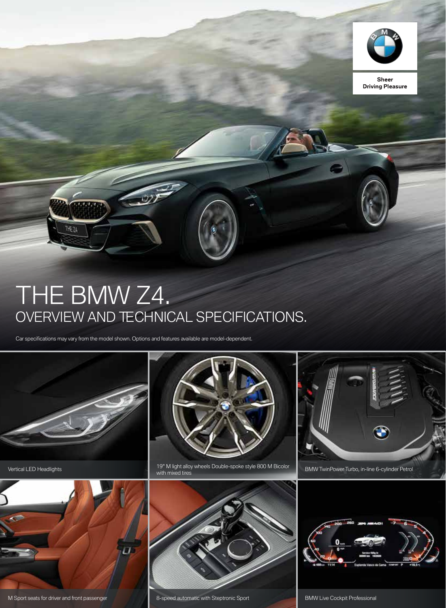

**Sheer Driving Pleasure** 

# THE BMW Z4. OVERVIEW AND TECHNICAL SPECIFICATIONS.

Car specifications may vary from the model shown. Options and features available are model-dependent.



**THE ZA** 



M Sport seats for driver and front passenger



Vertical LED Headlights **19th allow wheels Double-spoke style 800** M Bicolor BMW TwinPower Turbo, in-line 6-cylinder Petrol entity with mixed tires with mixed tires





8-speed automatic with Steptronic Sport BMW Live Cockpit Professional